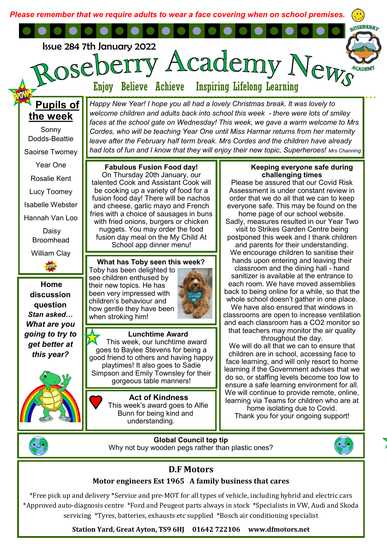*Please remember that we require adults to wear a face covering when on school premises.* 

Issue 284 7th January 2022

Academy OSE

Enjoy Believe Achieve Inspiring Lifelong Learning

*Happy New Year! I hope you all had a lovely Christmas break. It was lovely to welcome children and adults back into school this week - there were lots of smiley faces at the school gate on Wednesday! This week, we gave a warm welcome to Mrs Cordes, who will be teaching Year One until Miss Harmar returns from her maternity leave after the February half term break. Mrs Cordes and the children have already had lots of fun and I know that they will enjoy their new topic, Superheroes! Mrs Channing* 

# **Pupils of the week**

Sonny Dodds-Beattie Saoirse Twomey Year One Rosalie Kent

Lucy Toomey

Isabelle Webster

Hannah Van Loo

Daisy Broomhead

William Clay

**Home discussion question**  *Stan asked… What are you going to try to get better at this year?* 



**Fabulous Fusion Food day!**  On Thursday 20th January, our talented Cook and Assistant Cook will be cooking up a variety of food for a fusion food day! There will be nachos and cheese, garlic mayo and French fries with a choice of sausages in buns with fried onions, burgers or chicken nuggets. You may order the food fusion day meal on the My Child At School app dinner menu!

**What has Toby seen this week?**  Toby has been delighted to see children enthused by their new topics. He has been very impressed with children's behaviour and how gentle they have been when stroking him!

#### **Lunchtime Award**  This week, our lunchtime award goes to Baylee Stevens for being a good friend to others and having happy playtimes! It also goes to Sadie Simpson and Emily Townsley for their gorgeous table manners!

**Act of Kindness**  This week's award goes to Alfie Bunn for being kind and understanding.

### **Keeping everyone safe during challenging times**

ews

Please be assured that our Covid Risk Assessment is under constant review in order that we do all that we can to keep everyone safe. This may be found on the home page of our school website. Sadly, measures resulted in our Year Two visit to Strikes Garden Centre being postponed this week and I thank children and parents for their understanding. We encourage children to sanitise their hands upon entering and leaving their classroom and the dining hall - hand sanitizer is available at the entrance to each room. We have moved assemblies back to being online for a while, so that the whole school doesn't gather in one place. We have also ensured that windows in

classrooms are open to increase ventilation and each classroom has a CO2 monitor so that teachers may monitor the air quality throughout the day.

We will do all that we can to ensure that children are in school, accessing face to face learning, and will only resort to home learning if the Government advises that we do so, or staffing levels become too low to ensure a safe learning environment for all. We will continue to provide remote, online, learning via Teams for children who are at home isolating due to Covid.

Thank you for your ongoing support!



**Global Council top tip**  Why not buy wooden pegs rather than plastic ones?



## **D.F Motors**

## **Motor engineers Est 1965 A family business that cares**

\*Free pick up and delivery \*Service and pre-MOT for all types of vehicle, including hybrid and electric cars \*Approved auto-diagnosis centre \*Ford and Peugeot parts always in stock \*Specialists in VW, Audi and Skoda servicing \*Tyres, batteries, exhausts etc supplied \*Bosch air conditioning specialist

**Station Yard, Great Ayton, TS9 6HJ 01642 722106 www.dfmotors.net**